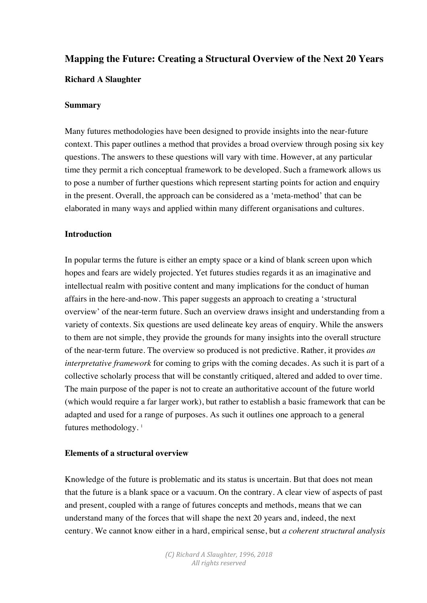# **Mapping the Future: Creating a Structural Overview of the Next 20 Years Richard A Slaughter**

# **Summary**

Many futures methodologies have been designed to provide insights into the near-future context. This paper outlines a method that provides a broad overview through posing six key questions. The answers to these questions will vary with time. However, at any particular time they permit a rich conceptual framework to be developed. Such a framework allows us to pose a number of further questions which represent starting points for action and enquiry in the present. Overall, the approach can be considered as a 'meta-method' that can be elaborated in many ways and applied within many different organisations and cultures.

# **Introduction**

In popular terms the future is either an empty space or a kind of blank screen upon which hopes and fears are widely projected. Yet futures studies regards it as an imaginative and intellectual realm with positive content and many implications for the conduct of human affairs in the here-and-now. This paper suggests an approach to creating a 'structural overview' of the near-term future. Such an overview draws insight and understanding from a variety of contexts. Six questions are used delineate key areas of enquiry. While the answers to them are not simple, they provide the grounds for many insights into the overall structure of the near-term future. The overview so produced is not predictive. Rather, it provides *an interpretative framework* for coming to grips with the coming decades. As such it is part of a collective scholarly process that will be constantly critiqued, altered and added to over time. The main purpose of the paper is not to create an authoritative account of the future world (which would require a far larger work), but rather to establish a basic framework that can be adapted and used for a range of purposes. As such it outlines one approach to a general futures methodology. $<sup>1</sup>$ </sup>

# **Elements of a structural overview**

Knowledge of the future is problematic and its status is uncertain. But that does not mean that the future is a blank space or a vacuum. On the contrary. A clear view of aspects of past and present, coupled with a range of futures concepts and methods, means that we can understand many of the forces that will shape the next 20 years and, indeed, the next century. We cannot know either in a hard, empirical sense, but *a coherent structural analysis*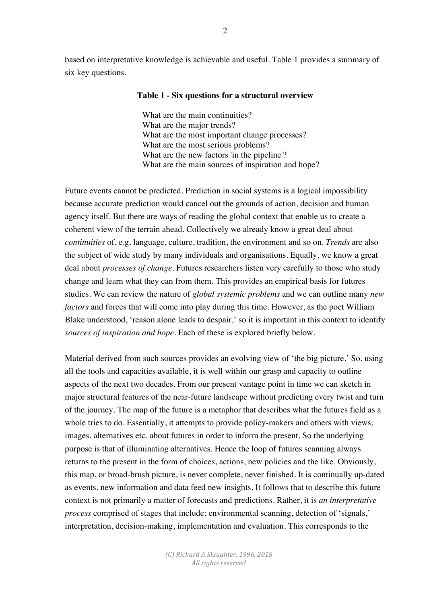based on interpretative knowledge is achievable and useful. Table 1 provides a summary of six key questions.

#### **Table 1 - Six questions for a structural overview**

What are the main continuities? What are the major trends? What are the most important change processes? What are the most serious problems? What are the new factors 'in the pipeline'? What are the main sources of inspiration and hope?

Future events cannot be predicted. Prediction in social systems is a logical impossibility because accurate prediction would cancel out the grounds of action, decision and human agency itself. But there are ways of reading the global context that enable us to create a coherent view of the terrain ahead. Collectively we already know a great deal about *continuities* of, e.g. language, culture, tradition, the environment and so on. *Trends* are also the subject of wide study by many individuals and organisations. Equally, we know a great deal about *processes of change*. Futures researchers listen very carefully to those who study change and learn what they can from them. This provides an empirical basis for futures studies. We can review the nature of *global systemic problems* and we can outline many *new factors* and forces that will come into play during this time. However, as the poet William Blake understood, 'reason alone leads to despair,' so it is important in this context to identify *sources of inspiration and hope*. Each of these is explored briefly below.

Material derived from such sources provides an evolving view of 'the big picture.' So, using all the tools and capacities available, it is well within our grasp and capacity to outline aspects of the next two decades. From our present vantage point in time we can sketch in major structural features of the near-future landscape without predicting every twist and turn of the journey. The map of the future is a metaphor that describes what the futures field as a whole tries to do. Essentially, it attempts to provide policy-makers and others with views, images, alternatives etc. about futures in order to inform the present. So the underlying purpose is that of illuminating alternatives. Hence the loop of futures scanning always returns to the present in the form of choices, actions, new policies and the like. Obviously, this map, or broad-brush picture, is never complete, never finished. It is continually up-dated as events, new information and data feed new insights. It follows that to describe this future context is not primarily a matter of forecasts and predictions. Rather, it is *an interpretative process* comprised of stages that include: environmental scanning, detection of 'signals,' interpretation, decision-making, implementation and evaluation. This corresponds to the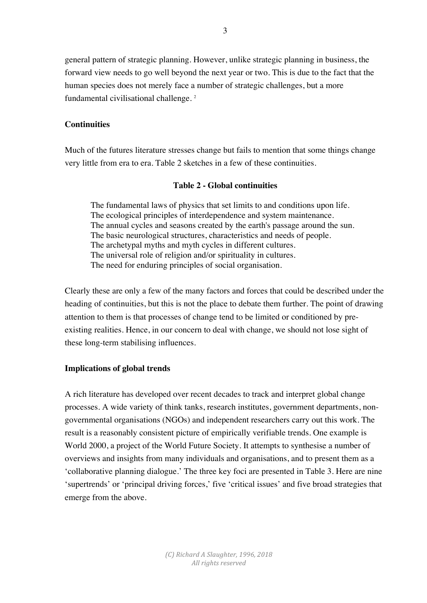general pattern of strategic planning. However, unlike strategic planning in business, the forward view needs to go well beyond the next year or two. This is due to the fact that the human species does not merely face a number of strategic challenges, but a more fundamental civilisational challenge. 2

# **Continuities**

Much of the futures literature stresses change but fails to mention that some things change very little from era to era. Table 2 sketches in a few of these continuities.

# **Table 2 - Global continuities**

The fundamental laws of physics that set limits to and conditions upon life. The ecological principles of interdependence and system maintenance. The annual cycles and seasons created by the earth's passage around the sun. The basic neurological structures, characteristics and needs of people. The archetypal myths and myth cycles in different cultures. The universal role of religion and/or spirituality in cultures. The need for enduring principles of social organisation.

Clearly these are only a few of the many factors and forces that could be described under the heading of continuities, but this is not the place to debate them further. The point of drawing attention to them is that processes of change tend to be limited or conditioned by preexisting realities. Hence, in our concern to deal with change, we should not lose sight of these long-term stabilising influences.

# **Implications of global trends**

A rich literature has developed over recent decades to track and interpret global change processes. A wide variety of think tanks, research institutes, government departments, nongovernmental organisations (NGOs) and independent researchers carry out this work. The result is a reasonably consistent picture of empirically verifiable trends. One example is World 2000, a project of the World Future Society. It attempts to synthesise a number of overviews and insights from many individuals and organisations, and to present them as a 'collaborative planning dialogue.' The three key foci are presented in Table 3. Here are nine 'supertrends' or 'principal driving forces,' five 'critical issues' and five broad strategies that emerge from the above.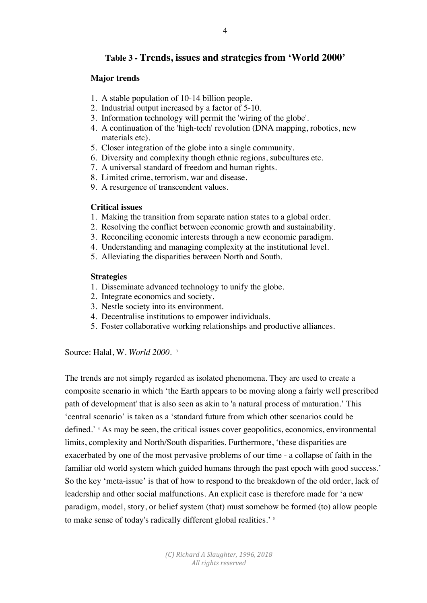# **Table 3 - Trends, issues and strategies from 'World 2000'**

### **Major trends**

- 1. A stable population of 10-14 billion people.
- 2. Industrial output increased by a factor of 5-10.
- 3. Information technology will permit the 'wiring of the globe'.
- 4. A continuation of the 'high-tech' revolution (DNA mapping, robotics, new materials etc).
- 5. Closer integration of the globe into a single community.
- 6. Diversity and complexity though ethnic regions, subcultures etc.
- 7. A universal standard of freedom and human rights.
- 8. Limited crime, terrorism, war and disease.
- 9. A resurgence of transcendent values.

#### **Critical issues**

- 1. Making the transition from separate nation states to a global order.
- 2. Resolving the conflict between economic growth and sustainability.
- 3. Reconciling economic interests through a new economic paradigm.
- 4. Understanding and managing complexity at the institutional level.
- 5. Alleviating the disparities between North and South.

#### **Strategies**

- 1. Disseminate advanced technology to unify the globe.
- 2. Integrate economics and society.
- 3. Nestle society into its environment.
- 4. Decentralise institutions to empower individuals.
- 5. Foster collaborative working relationships and productive alliances.

Source: Halal, W. *World 2000.* <sup>3</sup>

The trends are not simply regarded as isolated phenomena. They are used to create a composite scenario in which 'the Earth appears to be moving along a fairly well prescribed path of development' that is also seen as akin to 'a natural process of maturation.' This 'central scenario' is taken as a 'standard future from which other scenarios could be defined.' 4 As may be seen, the critical issues cover geopolitics, economics, environmental limits, complexity and North/South disparities. Furthermore, 'these disparities are exacerbated by one of the most pervasive problems of our time - a collapse of faith in the familiar old world system which guided humans through the past epoch with good success.' So the key 'meta-issue' is that of how to respond to the breakdown of the old order, lack of leadership and other social malfunctions. An explicit case is therefore made for 'a new paradigm, model, story, or belief system (that) must somehow be formed (to) allow people to make sense of today's radically different global realities.' <sup>5</sup>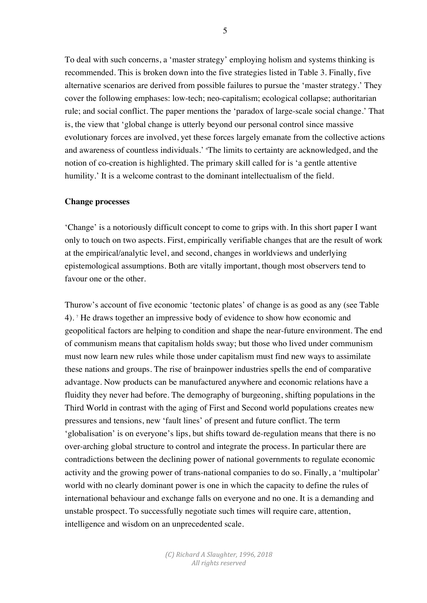To deal with such concerns, a 'master strategy' employing holism and systems thinking is recommended. This is broken down into the five strategies listed in Table 3. Finally, five alternative scenarios are derived from possible failures to pursue the 'master strategy.' They cover the following emphases: low-tech; neo-capitalism; ecological collapse; authoritarian rule; and social conflict. The paper mentions the 'paradox of large-scale social change.' That is, the view that 'global change is utterly beyond our personal control since massive evolutionary forces are involved, yet these forces largely emanate from the collective actions and awareness of countless individuals.' 6 The limits to certainty are acknowledged, and the notion of co-creation is highlighted. The primary skill called for is 'a gentle attentive humility.' It is a welcome contrast to the dominant intellectualism of the field.

#### **Change processes**

'Change' is a notoriously difficult concept to come to grips with. In this short paper I want only to touch on two aspects. First, empirically verifiable changes that are the result of work at the empirical/analytic level, and second, changes in worldviews and underlying epistemological assumptions. Both are vitally important, though most observers tend to favour one or the other.

Thurow's account of five economic 'tectonic plates' of change is as good as any (see Table 4). 7 He draws together an impressive body of evidence to show how economic and geopolitical factors are helping to condition and shape the near-future environment. The end of communism means that capitalism holds sway; but those who lived under communism must now learn new rules while those under capitalism must find new ways to assimilate these nations and groups. The rise of brainpower industries spells the end of comparative advantage. Now products can be manufactured anywhere and economic relations have a fluidity they never had before. The demography of burgeoning, shifting populations in the Third World in contrast with the aging of First and Second world populations creates new pressures and tensions, new 'fault lines' of present and future conflict. The term 'globalisation' is on everyone's lips, but shifts toward de-regulation means that there is no over-arching global structure to control and integrate the process. In particular there are contradictions between the declining power of national governments to regulate economic activity and the growing power of trans-national companies to do so. Finally, a 'multipolar' world with no clearly dominant power is one in which the capacity to define the rules of international behaviour and exchange falls on everyone and no one. It is a demanding and unstable prospect. To successfully negotiate such times will require care, attention, intelligence and wisdom on an unprecedented scale.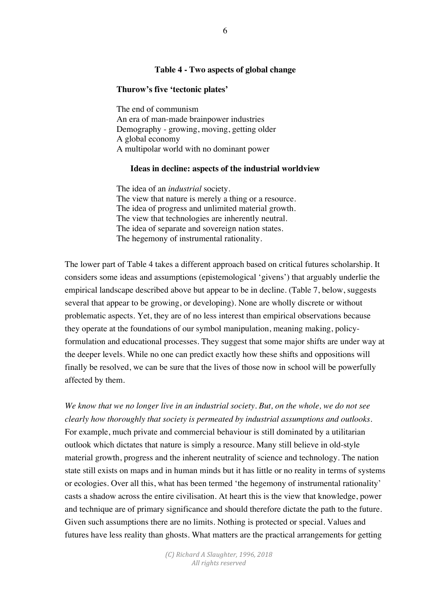#### **Table 4 - Two aspects of global change**

#### **Thurow's five 'tectonic plates'**

The end of communism An era of man-made brainpower industries Demography - growing, moving, getting older A global economy A multipolar world with no dominant power

#### **Ideas in decline: aspects of the industrial worldview**

The idea of an *industrial* society. The view that nature is merely a thing or a resource. The idea of progress and unlimited material growth. The view that technologies are inherently neutral. The idea of separate and sovereign nation states. The hegemony of instrumental rationality.

The lower part of Table 4 takes a different approach based on critical futures scholarship. It considers some ideas and assumptions (epistemological 'givens') that arguably underlie the empirical landscape described above but appear to be in decline. (Table 7, below, suggests several that appear to be growing, or developing). None are wholly discrete or without problematic aspects. Yet, they are of no less interest than empirical observations because they operate at the foundations of our symbol manipulation, meaning making, policyformulation and educational processes. They suggest that some major shifts are under way at the deeper levels. While no one can predict exactly how these shifts and oppositions will finally be resolved, we can be sure that the lives of those now in school will be powerfully affected by them.

*We know that we no longer live in an industrial society. But, on the whole, we do not see clearly how thoroughly that society is permeated by industrial assumptions and outlooks.* For example, much private and commercial behaviour is still dominated by a utilitarian outlook which dictates that nature is simply a resource. Many still believe in old-style material growth, progress and the inherent neutrality of science and technology. The nation state still exists on maps and in human minds but it has little or no reality in terms of systems or ecologies. Over all this, what has been termed 'the hegemony of instrumental rationality' casts a shadow across the entire civilisation. At heart this is the view that knowledge, power and technique are of primary significance and should therefore dictate the path to the future. Given such assumptions there are no limits. Nothing is protected or special. Values and futures have less reality than ghosts. What matters are the practical arrangements for getting

> *(C) Richard A Slaughter, 1996, 2018 All rights reserved*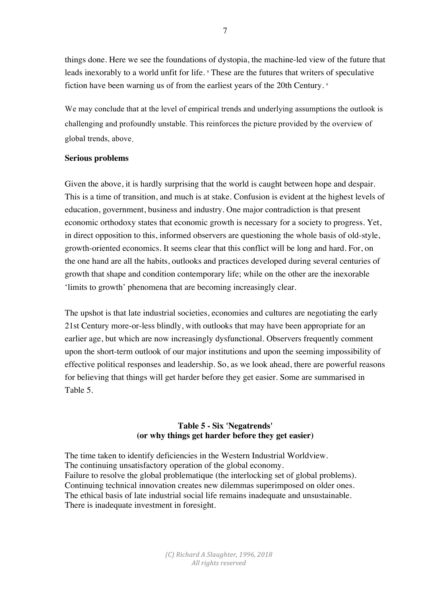things done. Here we see the foundations of dystopia, the machine-led view of the future that leads inexorably to a world unfit for life. <sup>8</sup> These are the futures that writers of speculative fiction have been warning us of from the earliest years of the 20th Century.<sup>9</sup>

We may conclude that at the level of empirical trends and underlying assumptions the outlook is challenging and profoundly unstable. This reinforces the picture provided by the overview of global trends, above.

#### **Serious problems**

Given the above, it is hardly surprising that the world is caught between hope and despair. This is a time of transition, and much is at stake. Confusion is evident at the highest levels of education, government, business and industry. One major contradiction is that present economic orthodoxy states that economic growth is necessary for a society to progress. Yet, in direct opposition to this, informed observers are questioning the whole basis of old-style, growth-oriented economics. It seems clear that this conflict will be long and hard. For, on the one hand are all the habits, outlooks and practices developed during several centuries of growth that shape and condition contemporary life; while on the other are the inexorable 'limits to growth' phenomena that are becoming increasingly clear.

The upshot is that late industrial societies, economies and cultures are negotiating the early 21st Century more-or-less blindly, with outlooks that may have been appropriate for an earlier age, but which are now increasingly dysfunctional. Observers frequently comment upon the short-term outlook of our major institutions and upon the seeming impossibility of effective political responses and leadership. So, as we look ahead, there are powerful reasons for believing that things will get harder before they get easier. Some are summarised in Table 5.

# **Table 5 - Six 'Negatrends' (or why things get harder before they get easier)**

The time taken to identify deficiencies in the Western Industrial Worldview. The continuing unsatisfactory operation of the global economy. Failure to resolve the global problematique (the interlocking set of global problems). Continuing technical innovation creates new dilemmas superimposed on older ones. The ethical basis of late industrial social life remains inadequate and unsustainable. There is inadequate investment in foresight.

> *(C) Richard A Slaughter, 1996, 2018 All rights reserved*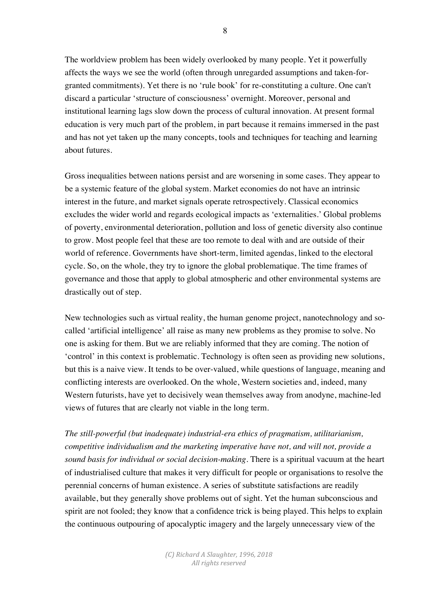The worldview problem has been widely overlooked by many people. Yet it powerfully affects the ways we see the world (often through unregarded assumptions and taken-forgranted commitments). Yet there is no 'rule book' for re-constituting a culture. One can't discard a particular 'structure of consciousness' overnight. Moreover, personal and institutional learning lags slow down the process of cultural innovation. At present formal education is very much part of the problem, in part because it remains immersed in the past and has not yet taken up the many concepts, tools and techniques for teaching and learning about futures.

Gross inequalities between nations persist and are worsening in some cases. They appear to be a systemic feature of the global system. Market economies do not have an intrinsic interest in the future, and market signals operate retrospectively. Classical economics excludes the wider world and regards ecological impacts as 'externalities.' Global problems of poverty, environmental deterioration, pollution and loss of genetic diversity also continue to grow. Most people feel that these are too remote to deal with and are outside of their world of reference. Governments have short-term, limited agendas, linked to the electoral cycle. So, on the whole, they try to ignore the global problematique. The time frames of governance and those that apply to global atmospheric and other environmental systems are drastically out of step.

New technologies such as virtual reality, the human genome project, nanotechnology and socalled 'artificial intelligence' all raise as many new problems as they promise to solve. No one is asking for them. But we are reliably informed that they are coming. The notion of 'control' in this context is problematic. Technology is often seen as providing new solutions, but this is a naive view. It tends to be over-valued, while questions of language, meaning and conflicting interests are overlooked. On the whole, Western societies and, indeed, many Western futurists, have yet to decisively wean themselves away from anodyne, machine-led views of futures that are clearly not viable in the long term.

*The still-powerful (but inadequate) industrial-era ethics of pragmatism, utilitarianism, competitive individualism and the marketing imperative have not, and will not, provide a sound basis for individual or social decision-making*. There is a spiritual vacuum at the heart of industrialised culture that makes it very difficult for people or organisations to resolve the perennial concerns of human existence. A series of substitute satisfactions are readily available, but they generally shove problems out of sight. Yet the human subconscious and spirit are not fooled; they know that a confidence trick is being played. This helps to explain the continuous outpouring of apocalyptic imagery and the largely unnecessary view of the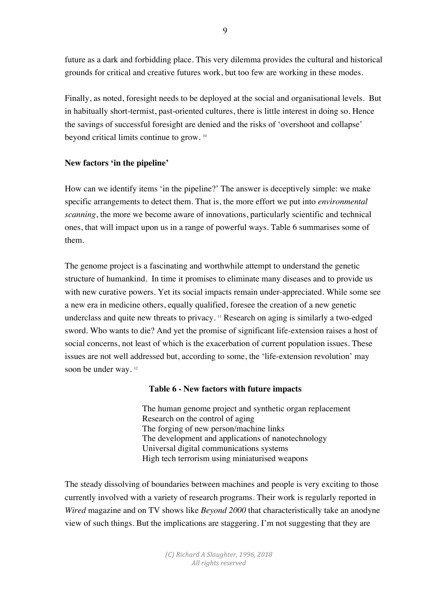future as a dark and forbidding place. This very dilemma provides the cultural and historical grounds for critical and creative futures work, but too few are working in these modes.

Finally, as noted, foresight needs to be deployed at the social and organisational levels. But in habitually short-termist, past-oriented cultures, there is little interest in doing so. Hence the savings of successful foresight are denied and the risks of 'overshoot and collapse' beyond critical limits continue to grow. 10

# **New factors 'in the pipeline'**

How can we identify items 'in the pipeline?' The answer is deceptively simple: we make specific arrangements to detect them. That is, the more effort we put into *environmental scanning*, the more we become aware of innovations, particularly scientific and technical ones, that will impact upon us in a range of powerful ways. Table 6 summarises some of them.

The genome project is a fascinating and worthwhile attempt to understand the genetic structure of humankind. In time it promises to eliminate many diseases and to provide us with new curative powers. Yet its social impacts remain under-appreciated. While some see a new era in medicine others, equally qualified, foresee the creation of a new genetic underclass and quite new threats to privacy. 11 Research on aging is similarly a two-edged sword. Who wants to die? And yet the promise of significant life-extension raises a host of social concerns, not least of which is the exacerbation of current population issues. These issues are not well addressed but, according to some, the 'life-extension revolution' may soon be under way.<sup>12</sup>

# **Table 6 - New factors with future impacts**

The human genome project and synthetic organ replacement Research on the control of aging The forging of new person/machine links The development and applications of nanotechnology Universal digital communications systems High tech terrorism using miniaturised weapons

The steady dissolving of boundaries between machines and people is very exciting to those currently involved with a variety of research programs. Their work is regularly reported in *Wired* magazine and on TV shows like *Beyond 2000* that characteristically take an anodyne view of such things. But the implications are staggering. I'm not suggesting that they are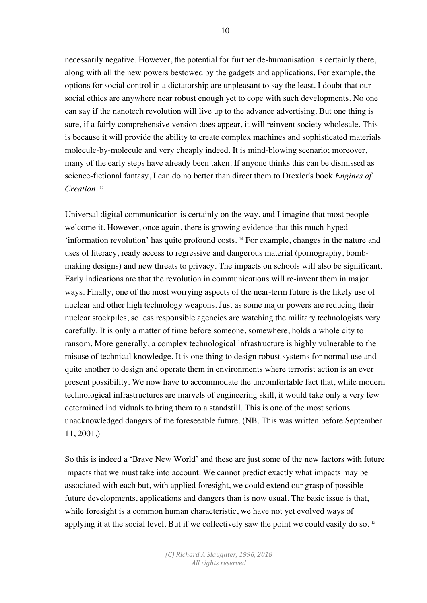necessarily negative. However, the potential for further de-humanisation is certainly there, along with all the new powers bestowed by the gadgets and applications. For example, the options for social control in a dictatorship are unpleasant to say the least. I doubt that our social ethics are anywhere near robust enough yet to cope with such developments. No one can say if the nanotech revolution will live up to the advance advertising. But one thing is sure, if a fairly comprehensive version does appear, it will reinvent society wholesale. This is because it will provide the ability to create complex machines and sophisticated materials molecule-by-molecule and very cheaply indeed. It is mind-blowing scenario; moreover, many of the early steps have already been taken. If anyone thinks this can be dismissed as science-fictional fantasy, I can do no better than direct them to Drexler's book *Engines of Creation*. 13

Universal digital communication is certainly on the way, and I imagine that most people welcome it. However, once again, there is growing evidence that this much-hyped 'information revolution' has quite profound costs. 14 For example, changes in the nature and uses of literacy, ready access to regressive and dangerous material (pornography, bombmaking designs) and new threats to privacy. The impacts on schools will also be significant. Early indications are that the revolution in communications will re-invent them in major ways. Finally, one of the most worrying aspects of the near-term future is the likely use of nuclear and other high technology weapons. Just as some major powers are reducing their nuclear stockpiles, so less responsible agencies are watching the military technologists very carefully. It is only a matter of time before someone, somewhere, holds a whole city to ransom. More generally, a complex technological infrastructure is highly vulnerable to the misuse of technical knowledge. It is one thing to design robust systems for normal use and quite another to design and operate them in environments where terrorist action is an ever present possibility. We now have to accommodate the uncomfortable fact that, while modern technological infrastructures are marvels of engineering skill, it would take only a very few determined individuals to bring them to a standstill. This is one of the most serious unacknowledged dangers of the foreseeable future. (NB. This was written before September 11, 2001.)

So this is indeed a 'Brave New World' and these are just some of the new factors with future impacts that we must take into account. We cannot predict exactly what impacts may be associated with each but, with applied foresight, we could extend our grasp of possible future developments, applications and dangers than is now usual. The basic issue is that, while foresight is a common human characteristic, we have not yet evolved ways of applying it at the social level. But if we collectively saw the point we could easily do so. <sup>15</sup>

> *(C) Richard A Slaughter, 1996, 2018 All rights reserved*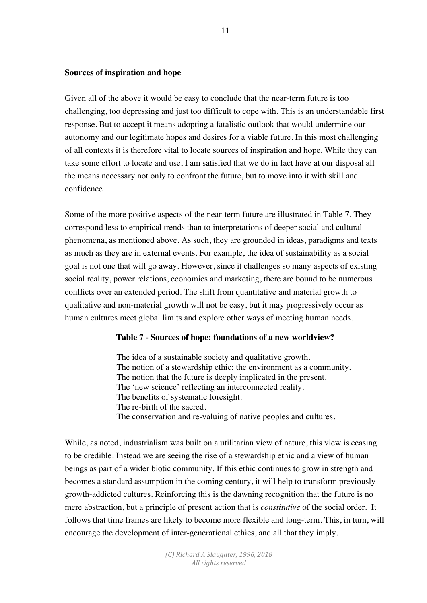#### **Sources of inspiration and hope**

Given all of the above it would be easy to conclude that the near-term future is too challenging, too depressing and just too difficult to cope with. This is an understandable first response. But to accept it means adopting a fatalistic outlook that would undermine our autonomy and our legitimate hopes and desires for a viable future. In this most challenging of all contexts it is therefore vital to locate sources of inspiration and hope. While they can take some effort to locate and use, I am satisfied that we do in fact have at our disposal all the means necessary not only to confront the future, but to move into it with skill and confidence

Some of the more positive aspects of the near-term future are illustrated in Table 7. They correspond less to empirical trends than to interpretations of deeper social and cultural phenomena, as mentioned above. As such, they are grounded in ideas, paradigms and texts as much as they are in external events. For example, the idea of sustainability as a social goal is not one that will go away. However, since it challenges so many aspects of existing social reality, power relations, economics and marketing, there are bound to be numerous conflicts over an extended period. The shift from quantitative and material growth to qualitative and non-material growth will not be easy, but it may progressively occur as human cultures meet global limits and explore other ways of meeting human needs.

#### **Table 7 - Sources of hope: foundations of a new worldview?**

The idea of a sustainable society and qualitative growth. The notion of a stewardship ethic; the environment as a community. The notion that the future is deeply implicated in the present. The 'new science' reflecting an interconnected reality. The benefits of systematic foresight. The re-birth of the sacred. The conservation and re-valuing of native peoples and cultures.

While, as noted, industrialism was built on a utilitarian view of nature, this view is ceasing to be credible. Instead we are seeing the rise of a stewardship ethic and a view of human beings as part of a wider biotic community. If this ethic continues to grow in strength and becomes a standard assumption in the coming century, it will help to transform previously growth-addicted cultures. Reinforcing this is the dawning recognition that the future is no mere abstraction, but a principle of present action that is *constitutive* of the social order. It follows that time frames are likely to become more flexible and long-term. This, in turn, will encourage the development of inter-generational ethics, and all that they imply.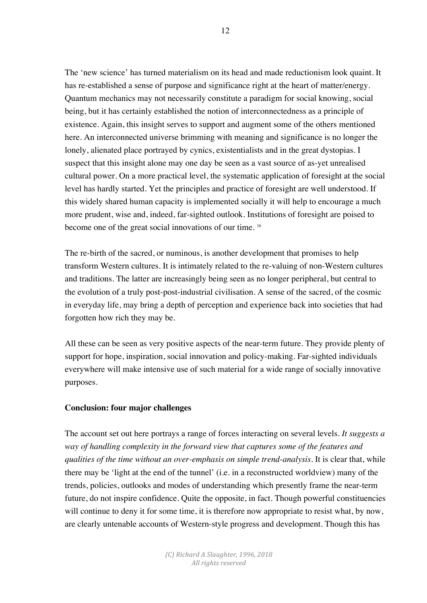The 'new science' has turned materialism on its head and made reductionism look quaint. It has re-established a sense of purpose and significance right at the heart of matter/energy. Quantum mechanics may not necessarily constitute a paradigm for social knowing, social being, but it has certainly established the notion of interconnectedness as a principle of existence. Again, this insight serves to support and augment some of the others mentioned here. An interconnected universe brimming with meaning and significance is no longer the lonely, alienated place portrayed by cynics, existentialists and in the great dystopias. I suspect that this insight alone may one day be seen as a vast source of as-yet unrealised cultural power. On a more practical level, the systematic application of foresight at the social level has hardly started. Yet the principles and practice of foresight are well understood. If this widely shared human capacity is implemented socially it will help to encourage a much more prudent, wise and, indeed, far-sighted outlook. Institutions of foresight are poised to become one of the great social innovations of our time.<sup>16</sup>

The re-birth of the sacred, or numinous, is another development that promises to help transform Western cultures. It is intimately related to the re-valuing of non-Western cultures and traditions. The latter are increasingly being seen as no longer peripheral, but central to the evolution of a truly post-post-industrial civilisation. A sense of the sacred, of the cosmic in everyday life, may bring a depth of perception and experience back into societies that had forgotten how rich they may be.

All these can be seen as very positive aspects of the near-term future. They provide plenty of support for hope, inspiration, social innovation and policy-making. Far-sighted individuals everywhere will make intensive use of such material for a wide range of socially innovative purposes.

# **Conclusion: four major challenges**

The account set out here portrays a range of forces interacting on several levels*. It suggests a way of handling complexity in the forward view that captures some of the features and qualities of the time without an over-emphasis on simple trend-analysis.* It is clear that, while there may be 'light at the end of the tunnel' (i.e. in a reconstructed worldview) many of the trends, policies, outlooks and modes of understanding which presently frame the near-term future, do not inspire confidence. Quite the opposite, in fact. Though powerful constituencies will continue to deny it for some time, it is therefore now appropriate to resist what, by now, are clearly untenable accounts of Western-style progress and development. Though this has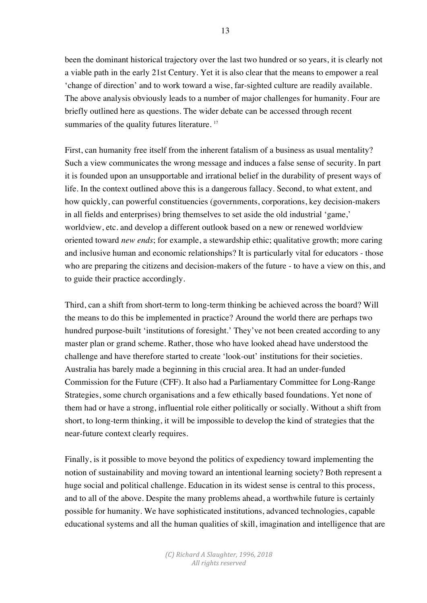been the dominant historical trajectory over the last two hundred or so years, it is clearly not a viable path in the early 21st Century. Yet it is also clear that the means to empower a real 'change of direction' and to work toward a wise, far-sighted culture are readily available. The above analysis obviously leads to a number of major challenges for humanity. Four are briefly outlined here as questions. The wider debate can be accessed through recent summaries of the quality futures literature.<sup>17</sup>

First, can humanity free itself from the inherent fatalism of a business as usual mentality? Such a view communicates the wrong message and induces a false sense of security. In part it is founded upon an unsupportable and irrational belief in the durability of present ways of life. In the context outlined above this is a dangerous fallacy. Second, to what extent, and how quickly, can powerful constituencies (governments, corporations, key decision-makers in all fields and enterprises) bring themselves to set aside the old industrial 'game,' worldview, etc. and develop a different outlook based on a new or renewed worldview oriented toward *new ends*; for example, a stewardship ethic; qualitative growth; more caring and inclusive human and economic relationships? It is particularly vital for educators - those who are preparing the citizens and decision-makers of the future - to have a view on this, and to guide their practice accordingly.

Third, can a shift from short-term to long-term thinking be achieved across the board? Will the means to do this be implemented in practice? Around the world there are perhaps two hundred purpose-built 'institutions of foresight.' They've not been created according to any master plan or grand scheme. Rather, those who have looked ahead have understood the challenge and have therefore started to create 'look-out' institutions for their societies. Australia has barely made a beginning in this crucial area. It had an under-funded Commission for the Future (CFF). It also had a Parliamentary Committee for Long-Range Strategies, some church organisations and a few ethically based foundations. Yet none of them had or have a strong, influential role either politically or socially. Without a shift from short, to long-term thinking, it will be impossible to develop the kind of strategies that the near-future context clearly requires.

Finally, is it possible to move beyond the politics of expediency toward implementing the notion of sustainability and moving toward an intentional learning society? Both represent a huge social and political challenge. Education in its widest sense is central to this process, and to all of the above. Despite the many problems ahead, a worthwhile future is certainly possible for humanity. We have sophisticated institutions, advanced technologies, capable educational systems and all the human qualities of skill, imagination and intelligence that are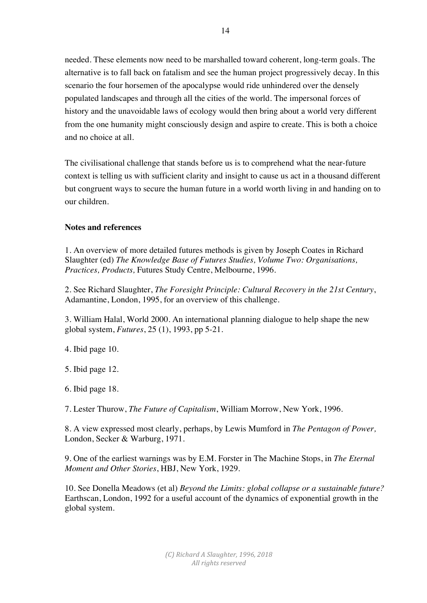needed. These elements now need to be marshalled toward coherent, long-term goals. The alternative is to fall back on fatalism and see the human project progressively decay. In this scenario the four horsemen of the apocalypse would ride unhindered over the densely populated landscapes and through all the cities of the world. The impersonal forces of history and the unavoidable laws of ecology would then bring about a world very different from the one humanity might consciously design and aspire to create. This is both a choice and no choice at all.

The civilisational challenge that stands before us is to comprehend what the near-future context is telling us with sufficient clarity and insight to cause us act in a thousand different but congruent ways to secure the human future in a world worth living in and handing on to our children.

# **Notes and references**

1. An overview of more detailed futures methods is given by Joseph Coates in Richard Slaughter (ed) *The Knowledge Base of Futures Studies, Volume Two: Organisations, Practices, Products,* Futures Study Centre, Melbourne, 1996.

2. See Richard Slaughter, *The Foresight Principle: Cultural Recovery in the 21st Century*, Adamantine, London, 1995, for an overview of this challenge.

3. William Halal, World 2000. An international planning dialogue to help shape the new global system, *Futures*, 25 (1), 1993, pp 5-21.

4. Ibid page 10.

5. Ibid page 12.

6. Ibid page 18.

7. Lester Thurow, *The Future of Capitalism*, William Morrow, New York, 1996.

8. A view expressed most clearly, perhaps, by Lewis Mumford in *The Pentagon of Power,* London, Secker & Warburg, 1971.

9. One of the earliest warnings was by E.M. Forster in The Machine Stops, in *The Eternal Moment and Other Stories*, HBJ, New York, 1929.

10. See Donella Meadows (et al) *Beyond the Limits: global collapse or a sustainable future?* Earthscan, London, 1992 for a useful account of the dynamics of exponential growth in the global system.